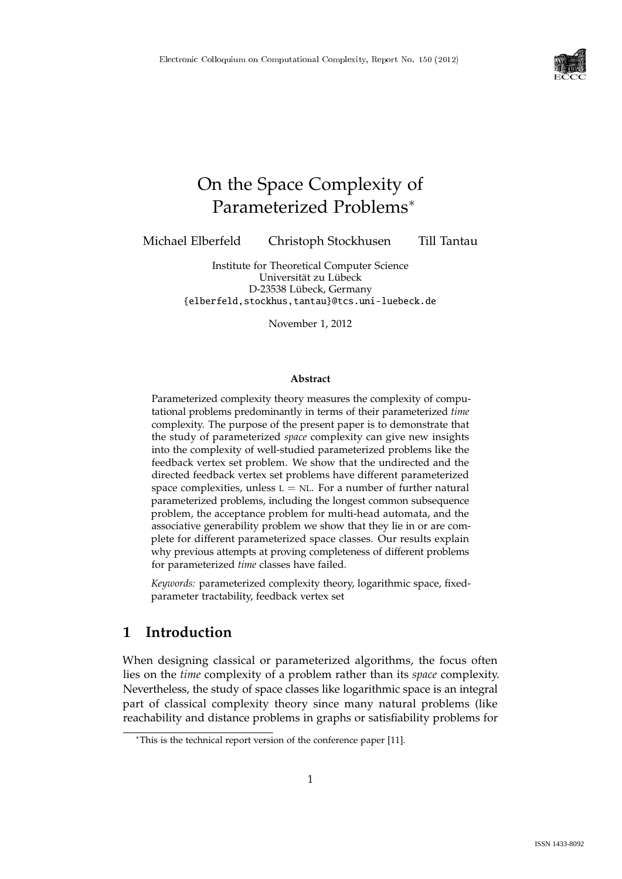

# On the Space Complexity of Parameterized Problems<sup>∗</sup>

Michael Elberfeld Christoph Stockhusen Till Tantau

Institute for Theoretical Computer Science Universität zu Lübeck D-23538 Lübeck, Germany {elberfeld,stockhus,tantau}@tcs.uni-luebeck.de

November 1, 2012

### **Abstract**

Parameterized complexity theory measures the complexity of computational problems predominantly in terms of their parameterized *time* complexity. The purpose of the present paper is to demonstrate that the study of parameterized *space* complexity can give new insights into the complexity of well-studied parameterized problems like the feedback vertex set problem. We show that the undirected and the directed feedback vertex set problems have different parameterized space complexities, unless  $L = NL$ . For a number of further natural parameterized problems, including the longest common subsequence problem, the acceptance problem for multi-head automata, and the associative generability problem we show that they lie in or are complete for different parameterized space classes. Our results explain why previous attempts at proving completeness of different problems for parameterized *time* classes have failed.

*Keywords:* parameterized complexity theory, logarithmic space, fixedparameter tractability, feedback vertex set

## **1 Introduction**

When designing classical or parameterized algorithms, the focus often lies on the *time* complexity of a problem rather than its *space* complexity. Nevertheless, the study of space classes like logarithmic space is an integral part of classical complexity theory since many natural problems (like reachability and distance problems in graphs or satisfiability problems for

<sup>∗</sup>This is the technical report version of the conference paper [\[11\]](#page--1-0).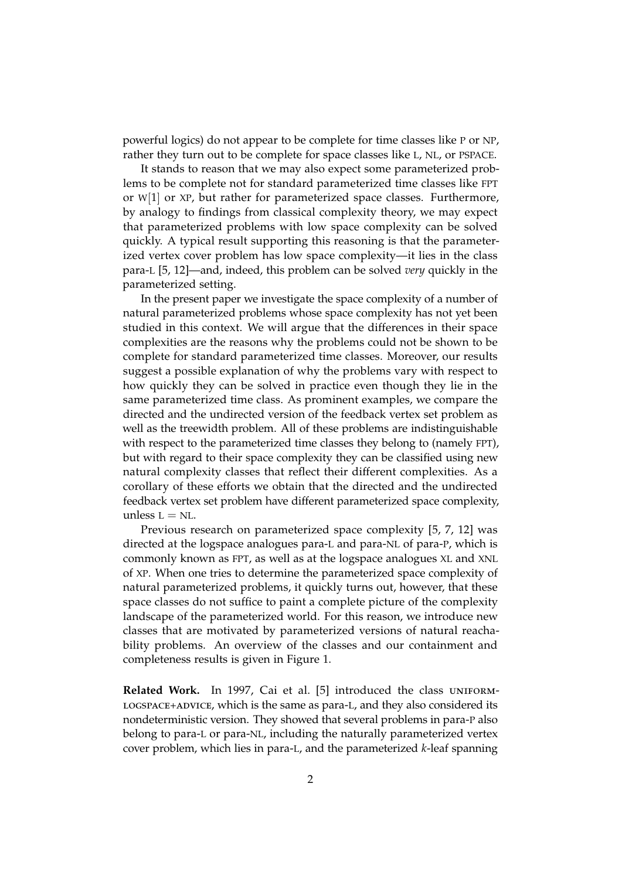powerful logics) do not appear to be complete for time classes like P or NP, rather they turn out to be complete for space classes like L, NL, or PSPACE.

It stands to reason that we may also expect some parameterized problems to be complete not for standard parameterized time classes like FPT or W[1] or XP, but rather for parameterized space classes. Furthermore, by analogy to findings from classical complexity theory, we may expect that parameterized problems with low space complexity can be solved quickly. A typical result supporting this reasoning is that the parameterized vertex cover problem has low space complexity—it lies in the class para-L [\[5,](#page-21-0) [12\]](#page-21-1)—and, indeed, this problem can be solved *very* quickly in the parameterized setting.

In the present paper we investigate the space complexity of a number of natural parameterized problems whose space complexity has not yet been studied in this context. We will argue that the differences in their space complexities are the reasons why the problems could not be shown to be complete for standard parameterized time classes. Moreover, our results suggest a possible explanation of why the problems vary with respect to how quickly they can be solved in practice even though they lie in the same parameterized time class. As prominent examples, we compare the directed and the undirected version of the feedback vertex set problem as well as the treewidth problem. All of these problems are indistinguishable with respect to the parameterized time classes they belong to (namely FPT), but with regard to their space complexity they can be classified using new natural complexity classes that reflect their different complexities. As a corollary of these efforts we obtain that the directed and the undirected feedback vertex set problem have different parameterized space complexity, unless  $L = NL$ .

Previous research on parameterized space complexity [\[5,](#page-21-0) [7,](#page-21-2) [12\]](#page-21-1) was directed at the logspace analogues para-L and para-NL of para-P, which is commonly known as FPT, as well as at the logspace analogues XL and XNL of XP. When one tries to determine the parameterized space complexity of natural parameterized problems, it quickly turns out, however, that these space classes do not suffice to paint a complete picture of the complexity landscape of the parameterized world. For this reason, we introduce new classes that are motivated by parameterized versions of natural reachability problems. An overview of the classes and our containment and completeness results is given in Figure [1.](#page-2-0)

**Related Work.** In 1997, Cai et al. [\[5\]](#page-21-0) introduced the class uniformlogspace+advice, which is the same as para-L, and they also considered its nondeterministic version. They showed that several problems in para-P also belong to para-L or para-NL, including the naturally parameterized vertex cover problem, which lies in para-L, and the parameterized *k*-leaf spanning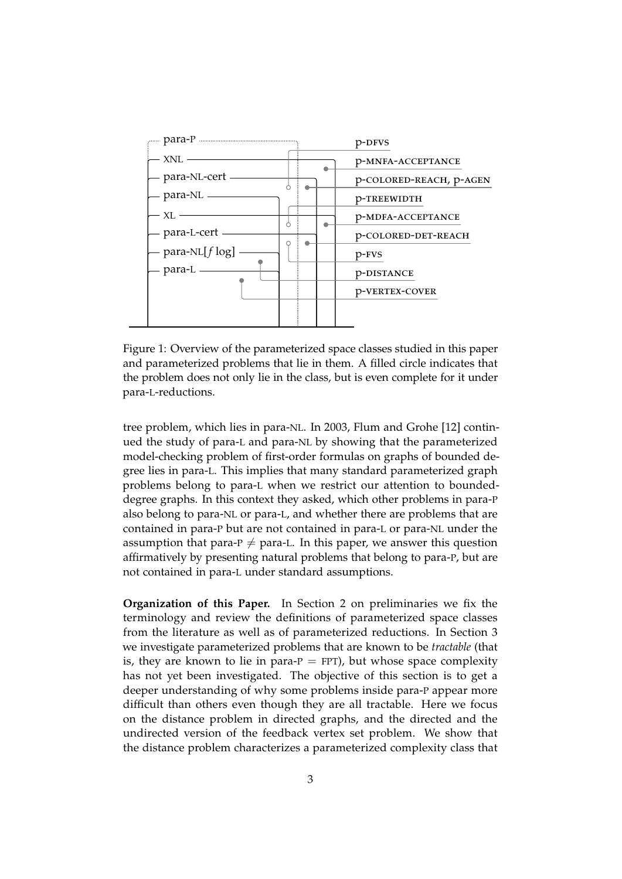

<span id="page-2-0"></span>Figure 1: Overview of the parameterized space classes studied in this paper and parameterized problems that lie in them. A filled circle indicates that the problem does not only lie in the class, but is even complete for it under para-L-reductions.

tree problem, which lies in para-NL. In 2003, Flum and Grohe [\[12\]](#page-21-1) continued the study of para-L and para-NL by showing that the parameterized model-checking problem of first-order formulas on graphs of bounded degree lies in para-L. This implies that many standard parameterized graph problems belong to para-L when we restrict our attention to boundeddegree graphs. In this context they asked, which other problems in para-P also belong to para-NL or para-L, and whether there are problems that are contained in para-P but are not contained in para-L or para-NL under the assumption that para-P  $\neq$  para-L. In this paper, we answer this question affirmatively by presenting natural problems that belong to para-P, but are not contained in para-L under standard assumptions.

**Organization of this Paper.** In Section [2](#page-3-0) on preliminaries we fix the terminology and review the definitions of parameterized space classes from the literature as well as of parameterized reductions. In Section [3](#page-4-0) we investigate parameterized problems that are known to be *tractable* (that is, they are known to lie in para- $P = FPT$ , but whose space complexity has not yet been investigated. The objective of this section is to get a deeper understanding of why some problems inside para-P appear more difficult than others even though they are all tractable. Here we focus on the distance problem in directed graphs, and the directed and the undirected version of the feedback vertex set problem. We show that the distance problem characterizes a parameterized complexity class that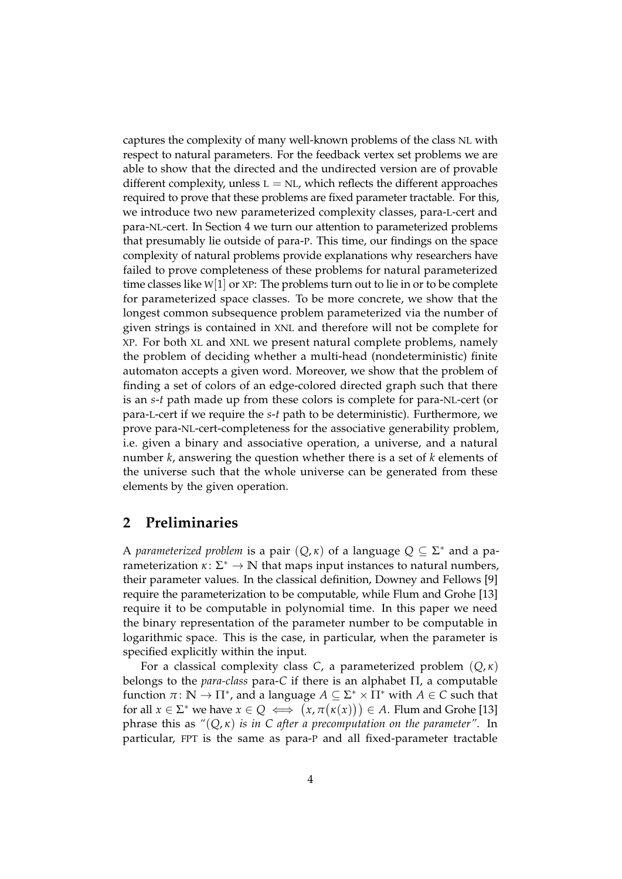captures the complexity of many well-known problems of the class NL with respect to natural parameters. For the feedback vertex set problems we are able to show that the directed and the undirected version are of provable different complexity, unless  $L = NL$ , which reflects the different approaches required to prove that these problems are fixed parameter tractable. For this, we introduce two new parameterized complexity classes, para-L-cert and para-NL-cert. In Section [4](#page-10-0) we turn our attention to parameterized problems that presumably lie outside of para-P. This time, our findings on the space complexity of natural problems provide explanations why researchers have failed to prove completeness of these problems for natural parameterized time classes like W[1] or XP: The problems turn out to lie in or to be complete for parameterized space classes. To be more concrete, we show that the longest common subsequence problem parameterized via the number of given strings is contained in XNL and therefore will not be complete for XP. For both XL and XNL we present natural complete problems, namely the problem of deciding whether a multi-head (nondeterministic) finite automaton accepts a given word. Moreover, we show that the problem of finding a set of colors of an edge-colored directed graph such that there is an *s*-*t* path made up from these colors is complete for para-NL-cert (or para-L-cert if we require the *s*-*t* path to be deterministic). Furthermore, we prove para-NL-cert-completeness for the associative generability problem, i.e. given a binary and associative operation, a universe, and a natural number *k*, answering the question whether there is a set of *k* elements of the universe such that the whole universe can be generated from these elements by the given operation.

### <span id="page-3-0"></span>**2 Preliminaries**

A *parameterized problem* is a pair  $(Q, \kappa)$  of a language  $Q \subseteq \Sigma^*$  and a pa $r$ ameterization  $\kappa : \Sigma^* \to \mathbb{N}$  that maps input instances to natural numbers, their parameter values. In the classical definition, Downey and Fellows [\[9\]](#page-21-3) require the parameterization to be computable, while Flum and Grohe [\[13\]](#page-21-4) require it to be computable in polynomial time. In this paper we need the binary representation of the parameter number to be computable in logarithmic space. This is the case, in particular, when the parameter is specified explicitly within the input.

For a classical complexity class *C*, a parameterized problem (*Q*, *κ*) belongs to the *para-class* para-*C* if there is an alphabet Π, a computable function  $\pi \colon \mathbb{N} \to \Pi^*$ , and a language  $A \subseteq \Sigma^* \times \overline{\Pi^*}$  with  $A \in \mathbb{C}$  such that for all  $x \in \Sigma^*$  we have  $x \in Q \iff (x, \pi(\kappa(x))) \in A$ . Flum and Grohe [\[13\]](#page-21-4) phrase this as *"*(*Q*, *κ*) *is in C after a precomputation on the parameter".* In particular, FPT is the same as para-P and all fixed-parameter tractable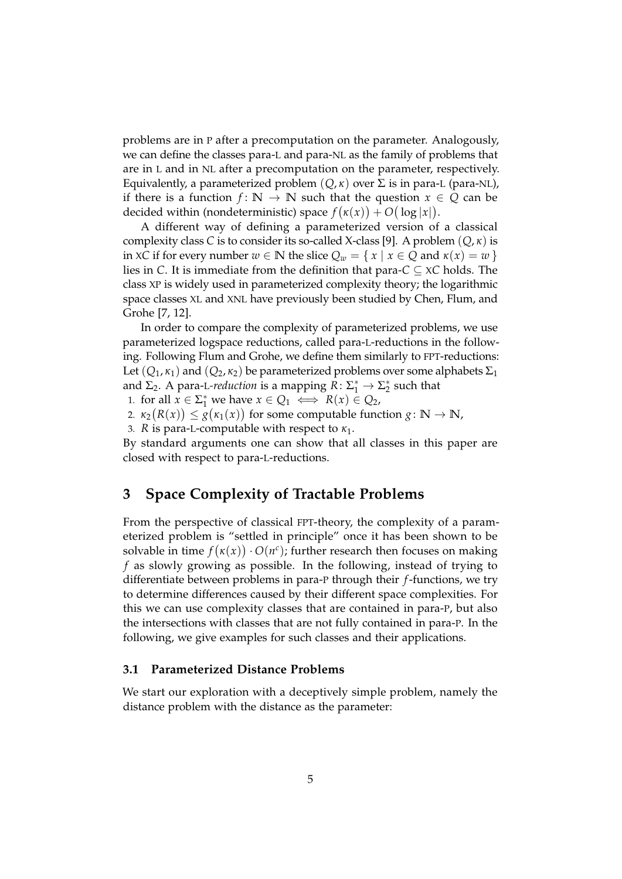problems are in P after a precomputation on the parameter. Analogously, we can define the classes para-L and para-NL as the family of problems that are in L and in NL after a precomputation on the parameter, respectively. Equivalently, a parameterized problem  $(Q, \kappa)$  over  $\Sigma$  is in para-L (para-NL), if there is a function  $f: \mathbb{N} \to \mathbb{N}$  such that the question  $x \in \mathbb{Q}$  can be decided within (nondeterministic) space  $f(k(x)) + O(\log |x|)$ .

A different way of defining a parameterized version of a classical complexity class *C* is to consider its so-called X-class [\[9\]](#page-21-3). A problem  $(Q, \kappa)$  is in *XC* if for every number  $w \in \mathbb{N}$  the slice  $Q_w = \{ x \mid x \in Q \text{ and } \kappa(x) = w \}$ lies in *C*. It is immediate from the definition that para-*C* ⊆ X*C* holds. The class XP is widely used in parameterized complexity theory; the logarithmic space classes XL and XNL have previously been studied by Chen, Flum, and Grohe [\[7,](#page-21-2) [12\]](#page-21-1).

In order to compare the complexity of parameterized problems, we use parameterized logspace reductions, called para-L-reductions in the following. Following Flum and Grohe, we define them similarly to FPT-reductions: Let  $(Q_1, \kappa_1)$  and  $(Q_2, \kappa_2)$  be parameterized problems over some alphabets  $\Sigma_1$ and  $\Sigma_2$ . A para-L-reduction is a mapping  $R: \Sigma_1^* \to \Sigma_2^*$  such that

1. for all  $x \in \Sigma_1^*$  we have  $x \in Q_1 \iff R(x) \in Q_2$ ,

2.  $\kappa_2(R(x)) \leq g(\kappa_1(x))$  for some computable function  $g \colon \mathbb{N} \to \mathbb{N}$ ,

3. *R* is para-L-computable with respect to  $\kappa_1$ .

By standard arguments one can show that all classes in this paper are closed with respect to para-L-reductions.

### <span id="page-4-0"></span>**3 Space Complexity of Tractable Problems**

From the perspective of classical FPT-theory, the complexity of a parameterized problem is "settled in principle" once it has been shown to be solvable in time  $f(\kappa(x)) \cdot O(n^c)$ ; further research then focuses on making *f* as slowly growing as possible. In the following, instead of trying to differentiate between problems in para-P through their *f*-functions, we try to determine differences caused by their different space complexities. For this we can use complexity classes that are contained in para-P, but also the intersections with classes that are not fully contained in para-P. In the following, we give examples for such classes and their applications.

### **3.1 Parameterized Distance Problems**

We start our exploration with a deceptively simple problem, namely the distance problem with the distance as the parameter: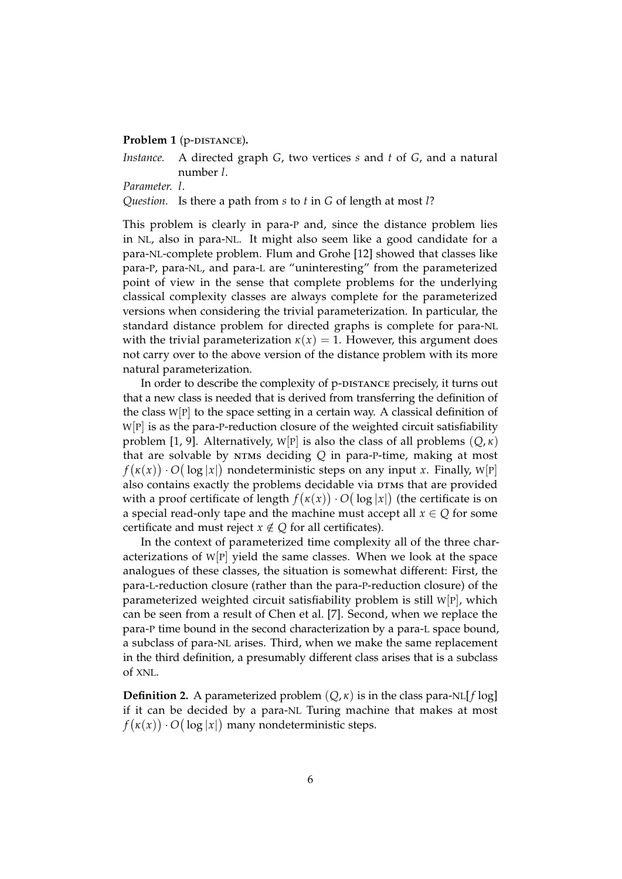#### Problem 1 (p-DISTANCE).

*Instance.* A directed graph *G*, two vertices *s* and *t* of *G*, and a natural number *l*.

*Parameter. l*.

*Question.* Is there a path from *s* to *t* in *G* of length at most *l*?

This problem is clearly in para-P and, since the distance problem lies in NL, also in para-NL. It might also seem like a good candidate for a para-NL-complete problem. Flum and Grohe [\[12\]](#page-21-1) showed that classes like para-P, para-NL, and para-L are "uninteresting" from the parameterized point of view in the sense that complete problems for the underlying classical complexity classes are always complete for the parameterized versions when considering the trivial parameterization. In particular, the standard distance problem for directed graphs is complete for para-NL with the trivial parameterization  $\kappa(x) = 1$ . However, this argument does not carry over to the above version of the distance problem with its more natural parameterization.

In order to describe the complexity of p-DISTANCE precisely, it turns out that a new class is needed that is derived from transferring the definition of the class  $W[P]$  to the space setting in a certain way. A classical definition of W[P] is as the para-P-reduction closure of the weighted circuit satisfiability problem [\[1,](#page-20-0) [9\]](#page-21-3). Alternatively,  $W[P]$  is also the class of all problems  $(Q, \kappa)$ that are solvable by ntms deciding *Q* in para-P-time, making at most  $f\big(\kappa(x)\big)\cdot O\big(\log|x|\big)$  nondeterministic steps on any input *x*. Finally, W[P] also contains exactly the problems decidable via DTMs that are provided with a proof certificate of length  $f\left(\kappa(x)\right) \cdot O\big(\log |x| \big)$  (the certificate is on a special read-only tape and the machine must accept all  $x \in Q$  for some certificate and must reject  $x \notin Q$  for all certificates).

In the context of parameterized time complexity all of the three characterizations of  $W[P]$  yield the same classes. When we look at the space analogues of these classes, the situation is somewhat different: First, the para-L-reduction closure (rather than the para-P-reduction closure) of the parameterized weighted circuit satisfiability problem is still W[P], which can be seen from a result of Chen et al. [\[7\]](#page-21-2). Second, when we replace the para-P time bound in the second characterization by a para-L space bound, a subclass of para-NL arises. Third, when we make the same replacement in the third definition, a presumably different class arises that is a subclass of XNL.

**Definition 2.** A parameterized problem  $(Q, \kappa)$  is in the class para-NL[ $f$  log] if it can be decided by a para-NL Turing machine that makes at most  $f\big(\kappa(x)\big)\cdot O\big(\log|x|\big)$  many nondeterministic steps.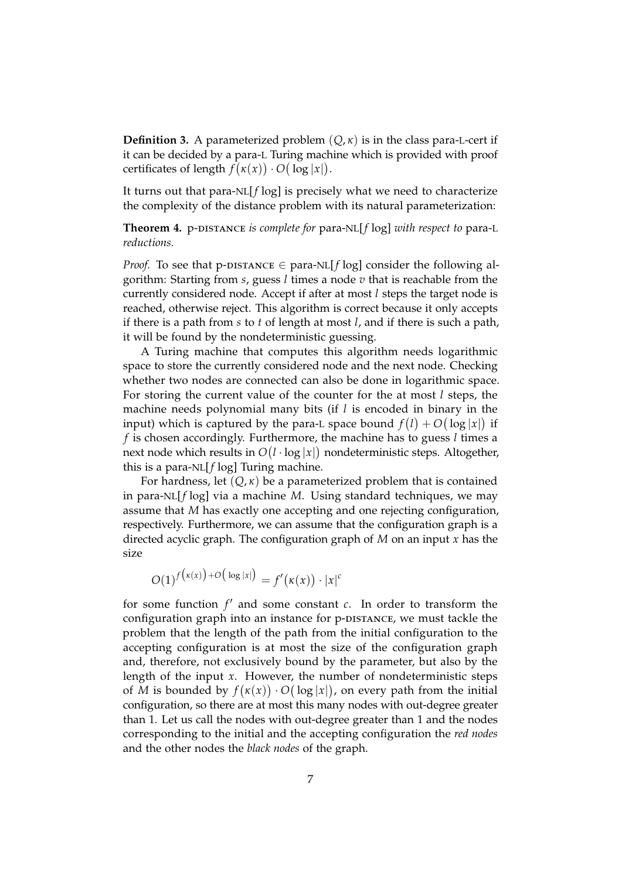**Definition 3.** A parameterized problem  $(Q, \kappa)$  is in the class para-L-cert if it can be decided by a para-L Turing machine which is provided with proof certificates of length  $f(x(x)) \cdot O(\log |x|)$ .

It turns out that para-NL[*f* log] is precisely what we need to characterize the complexity of the distance problem with its natural parameterization:

**Theorem 4.** p-DISTANCE *is complete for* para-NL[*f* log] *with respect to* para-L *reductions.*

*Proof.* To see that p-DISTANCE  $\in$  para-NL[*f* log] consider the following algorithm: Starting from *s*, guess *l* times a node *v* that is reachable from the currently considered node. Accept if after at most *l* steps the target node is reached, otherwise reject. This algorithm is correct because it only accepts if there is a path from *s* to *t* of length at most *l*, and if there is such a path, it will be found by the nondeterministic guessing.

A Turing machine that computes this algorithm needs logarithmic space to store the currently considered node and the next node. Checking whether two nodes are connected can also be done in logarithmic space. For storing the current value of the counter for the at most *l* steps, the machine needs polynomial many bits (if *l* is encoded in binary in the input) which is captured by the para-L space bound  $f(l) + O(\log |x|)$  if *f* is chosen accordingly. Furthermore, the machine has to guess *l* times a next node which results in  $O(l \cdot \log |x|)$  nondeterministic steps. Altogether, this is a para-NL[*f* log] Turing machine.

For hardness, let  $(Q, \kappa)$  be a parameterized problem that is contained in para-NL[*f* log] via a machine *M*. Using standard techniques, we may assume that *M* has exactly one accepting and one rejecting configuration, respectively. Furthermore, we can assume that the configuration graph is a directed acyclic graph. The configuration graph of *M* on an input *x* has the size

 $O(1)^{f\big(\kappa(x)\big) + O\big(\log |\kappa| \big)} = f'\big(\kappa(x)\big) \cdot |x|^c$ 

for some function  $f'$  and some constant  $c$ . In order to transform the configuration graph into an instance for p-DISTANCE, we must tackle the problem that the length of the path from the initial configuration to the accepting configuration is at most the size of the configuration graph and, therefore, not exclusively bound by the parameter, but also by the length of the input *x*. However, the number of nondeterministic steps of *M* is bounded by  $f(\kappa(x)) \cdot O(\log |x|)$ , on every path from the initial configuration, so there are at most this many nodes with out-degree greater than 1. Let us call the nodes with out-degree greater than 1 and the nodes corresponding to the initial and the accepting configuration the *red nodes* and the other nodes the *black nodes* of the graph.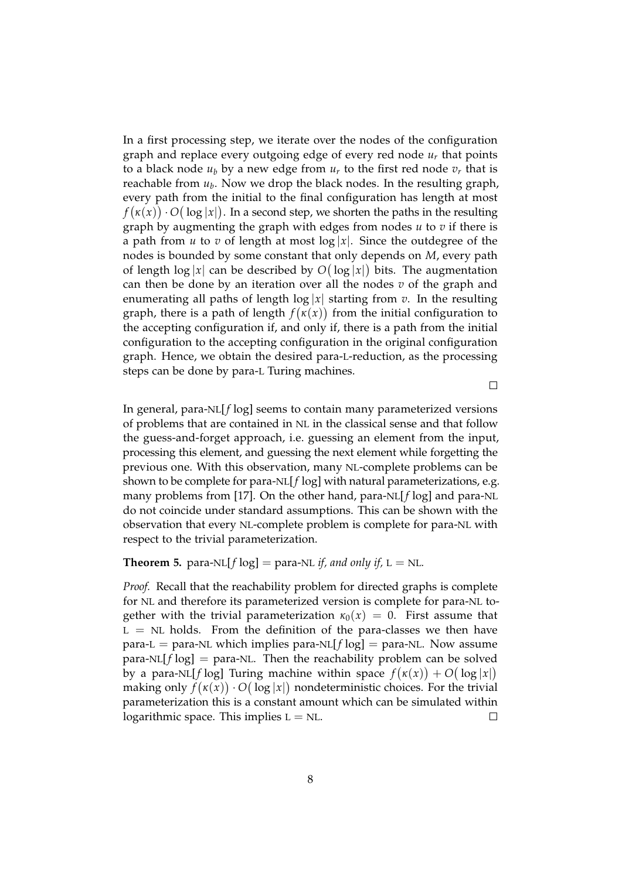In a first processing step, we iterate over the nodes of the configuration graph and replace every outgoing edge of every red node *u<sup>r</sup>* that points to a black node  $u_h$  by a new edge from  $u_r$  to the first red node  $v_r$  that is reachable from *u<sup>b</sup>* . Now we drop the black nodes. In the resulting graph, every path from the initial to the final configuration has length at most  $f\big(\kappa(x)\big)\cdot O\big(\log |x|\big).$  In a second step, we shorten the paths in the resulting graph by augmenting the graph with edges from nodes *u* to *v* if there is a path from *u* to *v* of length at most  $log |x|$ . Since the outdegree of the nodes is bounded by some constant that only depends on *M*, every path of length  $\log |x|$  can be described by  $O(\log |x|)$  bits. The augmentation can then be done by an iteration over all the nodes *v* of the graph and enumerating all paths of length  $log |x|$  starting from *v*. In the resulting graph, there is a path of length  $f$  $(\kappa(x))$  from the initial configuration to the accepting configuration if, and only if, there is a path from the initial configuration to the accepting configuration in the original configuration graph. Hence, we obtain the desired para-L-reduction, as the processing steps can be done by para-L Turing machines.

In general, para-NL[*f* log] seems to contain many parameterized versions of problems that are contained in NL in the classical sense and that follow the guess-and-forget approach, i.e. guessing an element from the input, processing this element, and guessing the next element while forgetting the previous one. With this observation, many NL-complete problems can be shown to be complete for para-NL[*f* log] with natural parameterizations, e.g. many problems from [\[17\]](#page--1-1). On the other hand, para-NL[*f* log] and para-NL do not coincide under standard assumptions. This can be shown with the observation that every NL-complete problem is complete for para-NL with respect to the trivial parameterization.

**Theorem 5.** para-NL[ $f$  log] = para-NL *if, and only if, L* = NL.

*Proof.* Recall that the reachability problem for directed graphs is complete for NL and therefore its parameterized version is complete for para-NL together with the trivial parameterization  $\kappa_0(x) = 0$ . First assume that  $L = NL$  holds. From the definition of the para-classes we then have para-L = para-NL which implies para-NL $[f \log]$  = para-NL. Now assume  $para-NL[f\log] = para-NL$ . Then the reachability problem can be solved by a para-NL[ $f$ log] Turing machine within space  $f(k(x)) + O(\log |x|)$ making only  $f\big(\kappa(x)\big) \cdot O\big(\log |x|\big)$  nondeterministic choices. For the trivial parameterization this is a constant amount which can be simulated within logarithmic space. This implies  $L = NL$ .  $\Box$ 

 $\Box$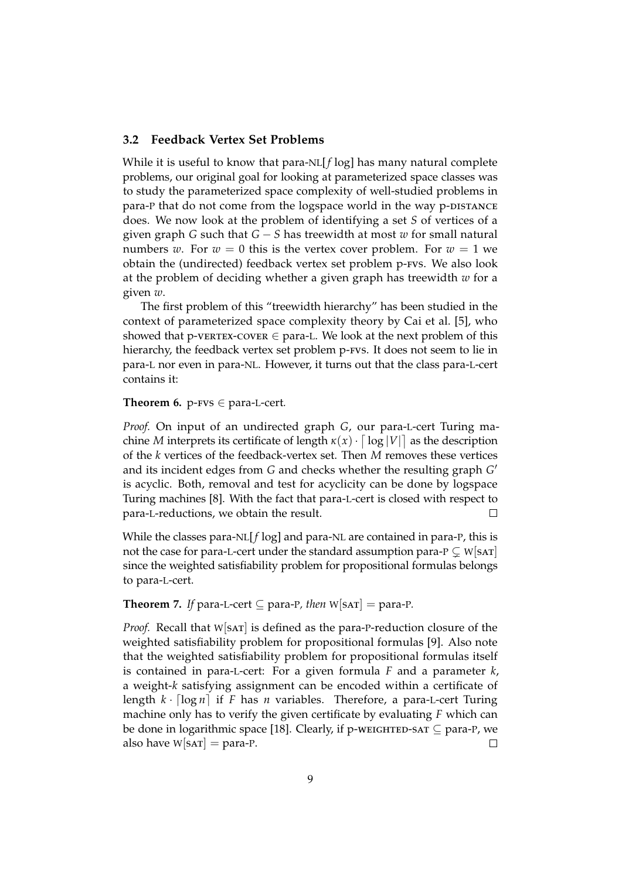### **3.2 Feedback Vertex Set Problems**

While it is useful to know that para-NL[*f* log] has many natural complete problems, our original goal for looking at parameterized space classes was to study the parameterized space complexity of well-studied problems in para-P that do not come from the logspace world in the way p-DISTANCE does. We now look at the problem of identifying a set *S* of vertices of a given graph *G* such that *G* − *S* has treewidth at most *w* for small natural numbers *w*. For  $w = 0$  this is the vertex cover problem. For  $w = 1$  we obtain the (undirected) feedback vertex set problem p-fvs. We also look at the problem of deciding whether a given graph has treewidth *w* for a given *w*.

The first problem of this "treewidth hierarchy" has been studied in the context of parameterized space complexity theory by Cai et al. [\[5\]](#page-21-0), who showed that p-vERTEX-COVER  $\in$  para-L. We look at the next problem of this hierarchy, the feedback vertex set problem p-FVS. It does not seem to lie in para-L nor even in para-NL. However, it turns out that the class para-L-cert contains it:

#### **Theorem 6.**  $p$ -FVS  $\in$  para-L-cert.

*Proof.* On input of an undirected graph *G*, our para-L-cert Turing machine *M* interprets its certificate of length  $\kappa(x) \cdot \left[ \log |V| \right]$  as the description of the *k* vertices of the feedback-vertex set. Then *M* removes these vertices and its incident edges from *G* and checks whether the resulting graph *G* 0 is acyclic. Both, removal and test for acyclicity can be done by logspace Turing machines [\[8\]](#page-21-5). With the fact that para-L-cert is closed with respect to para-L-reductions, we obtain the result.  $\Box$ 

While the classes para-NL[*f* log] and para-NL are contained in para-P, this is not the case for para-L-cert under the standard assumption para-P  $\subsetneq$  W[SAT] since the weighted satisfiability problem for propositional formulas belongs to para-L-cert.

### **Theorem 7.** *If* para-L-cert  $\subseteq$  para-P, *then*  $W[sAT] =$  para-P.

*Proof.* Recall that W[sAT] is defined as the para-P-reduction closure of the weighted satisfiability problem for propositional formulas [\[9\]](#page-21-3). Also note that the weighted satisfiability problem for propositional formulas itself is contained in para-L-cert: For a given formula *F* and a parameter *k*, a weight-*k* satisfying assignment can be encoded within a certificate of length  $k \cdot \lceil \log n \rceil$  if *F* has *n* variables. Therefore, a para-L-cert Turing machine only has to verify the given certificate by evaluating *F* which can be done in logarithmic space [\[18\]](#page--1-2). Clearly, if p-weighted-sat  $\subseteq$  para-P, we also have  $W[sAT] = para-P$ .  $\Box$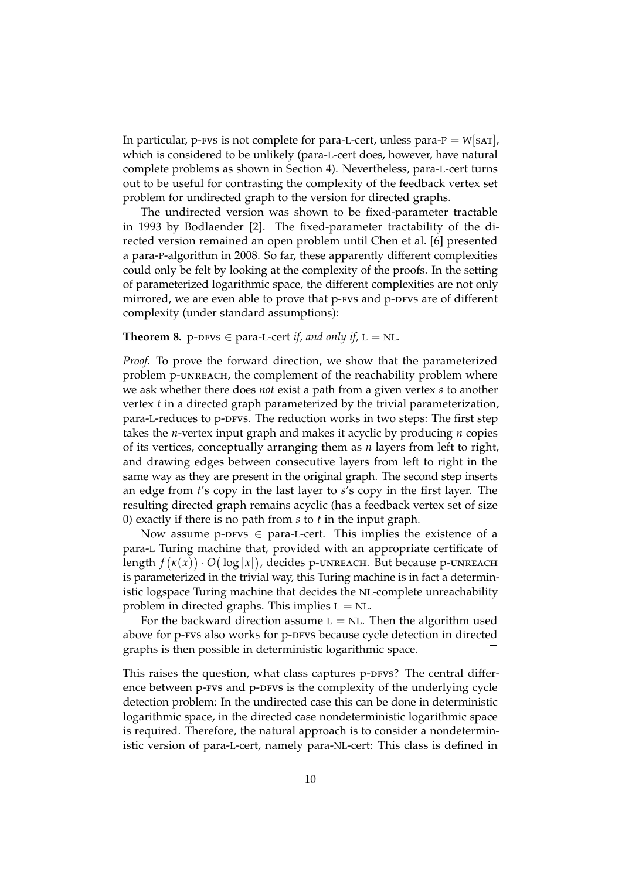In particular, p-fvs is not complete for para-L-cert, unless para-P =  $W[**s**AT]$ , which is considered to be unlikely (para-L-cert does, however, have natural complete problems as shown in Section [4\)](#page-10-0). Nevertheless, para-L-cert turns out to be useful for contrasting the complexity of the feedback vertex set problem for undirected graph to the version for directed graphs.

The undirected version was shown to be fixed-parameter tractable in 1993 by Bodlaender [\[2\]](#page-20-1). The fixed-parameter tractability of the directed version remained an open problem until Chen et al. [\[6\]](#page-21-6) presented a para-P-algorithm in 2008. So far, these apparently different complexities could only be felt by looking at the complexity of the proofs. In the setting of parameterized logarithmic space, the different complexities are not only mirrored, we are even able to prove that p-FVS and p-DFVS are of different complexity (under standard assumptions):

### **Theorem 8.** p-DFVS  $\in$  para-L-cert *if, and only if,* L  $=$  NL.

*Proof.* To prove the forward direction, we show that the parameterized problem p-UNREACH, the complement of the reachability problem where we ask whether there does *not* exist a path from a given vertex *s* to another vertex *t* in a directed graph parameterized by the trivial parameterization, para-L-reduces to p-DFVS. The reduction works in two steps: The first step takes the *n*-vertex input graph and makes it acyclic by producing *n* copies of its vertices, conceptually arranging them as *n* layers from left to right, and drawing edges between consecutive layers from left to right in the same way as they are present in the original graph. The second step inserts an edge from *t*'s copy in the last layer to *s*'s copy in the first layer. The resulting directed graph remains acyclic (has a feedback vertex set of size 0) exactly if there is no path from *s* to *t* in the input graph.

Now assume p-DFVs  $\in$  para-L-cert. This implies the existence of a para-L Turing machine that, provided with an appropriate certificate of  $\overline{\mathrm{length}}~f\big(\kappa(x)\big)\cdot O\big(\log |x|\big)$ , decides p-unreach. But because p-unreach is parameterized in the trivial way, this Turing machine is in fact a deterministic logspace Turing machine that decides the NL-complete unreachability problem in directed graphs. This implies  $L = NL$ .

For the backward direction assume  $L = NL$ . Then the algorithm used above for p-FVs also works for p-DFVs because cycle detection in directed graphs is then possible in deterministic logarithmic space.  $\Box$ 

This raises the question, what class captures p-DFVS? The central difference between p-FVs and p-DFVs is the complexity of the underlying cycle detection problem: In the undirected case this can be done in deterministic logarithmic space, in the directed case nondeterministic logarithmic space is required. Therefore, the natural approach is to consider a nondeterministic version of para-L-cert, namely para-NL-cert: This class is defined in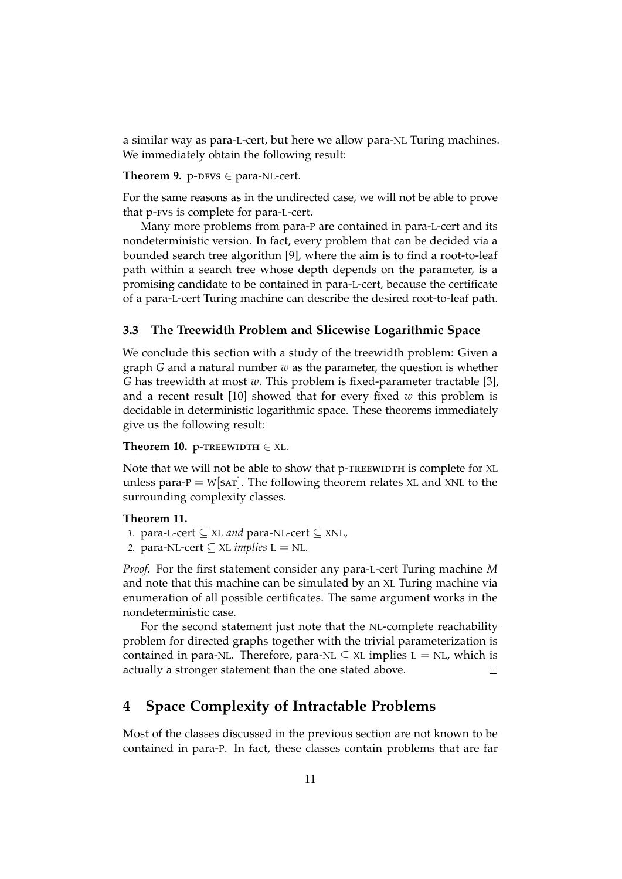a similar way as para-L-cert, but here we allow para-NL Turing machines. We immediately obtain the following result:

**Theorem 9.**  $p$ -DFVS  $\in$  para-NL-cert.

For the same reasons as in the undirected case, we will not be able to prove that p-fvs is complete for para-L-cert.

Many more problems from para-P are contained in para-L-cert and its nondeterministic version. In fact, every problem that can be decided via a bounded search tree algorithm [\[9\]](#page-21-3), where the aim is to find a root-to-leaf path within a search tree whose depth depends on the parameter, is a promising candidate to be contained in para-L-cert, because the certificate of a para-L-cert Turing machine can describe the desired root-to-leaf path.

### **3.3 The Treewidth Problem and Slicewise Logarithmic Space**

We conclude this section with a study of the treewidth problem: Given a graph *G* and a natural number *w* as the parameter, the question is whether *G* has treewidth at most *w*. This problem is fixed-parameter tractable [\[3\]](#page-20-2), and a recent result [\[10\]](#page-21-7) showed that for every fixed *w* this problem is decidable in deterministic logarithmic space. These theorems immediately give us the following result:

**Theorem 10.**  $p$ -TREEWIDTH  $\in$  XL.

Note that we will not be able to show that p-TREEWIDTH is complete for XL unless para- $P = W[sAT]$ . The following theorem relates XL and XNL to the surrounding complexity classes.

### **Theorem 11.**

- *1.* para-L-cert ⊆ XL *and* para-NL-cert ⊆ XNL*,*
- 2. para-NL-cert ⊂ XL *implies*  $L = NL$ .

*Proof.* For the first statement consider any para-L-cert Turing machine *M* and note that this machine can be simulated by an XL Turing machine via enumeration of all possible certificates. The same argument works in the nondeterministic case.

For the second statement just note that the NL-complete reachability problem for directed graphs together with the trivial parameterization is contained in para-NL. Therefore, para-NL  $\subseteq$  XL implies L = NL, which is actually a stronger statement than the one stated above.  $\Box$ 

### <span id="page-10-0"></span>**4 Space Complexity of Intractable Problems**

Most of the classes discussed in the previous section are not known to be contained in para-P. In fact, these classes contain problems that are far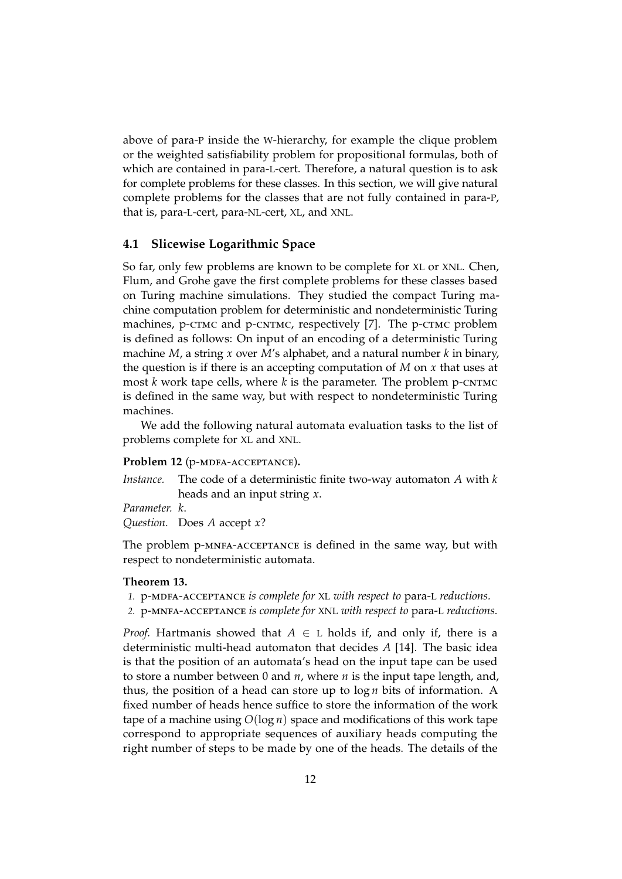above of para-P inside the W-hierarchy, for example the clique problem or the weighted satisfiability problem for propositional formulas, both of which are contained in para-L-cert. Therefore, a natural question is to ask for complete problems for these classes. In this section, we will give natural complete problems for the classes that are not fully contained in para-P, that is, para-L-cert, para-NL-cert, XL, and XNL.

### **4.1 Slicewise Logarithmic Space**

So far, only few problems are known to be complete for XL or XNL. Chen, Flum, and Grohe gave the first complete problems for these classes based on Turing machine simulations. They studied the compact Turing machine computation problem for deterministic and nondeterministic Turing machines, p-CTMC and p-CNTMC, respectively [\[7\]](#page-21-2). The p-CTMC problem is defined as follows: On input of an encoding of a deterministic Turing machine *M*, a string *x* over *M*'s alphabet, and a natural number *k* in binary, the question is if there is an accepting computation of *M* on *x* that uses at most  $k$  work tape cells, where  $k$  is the parameter. The problem p-CNTMC is defined in the same way, but with respect to nondeterministic Turing machines.

We add the following natural automata evaluation tasks to the list of problems complete for XL and XNL.

### Problem 12 (p-MDFA-ACCEPTANCE).

*Instance.* The code of a deterministic finite two-way automaton *A* with *k* heads and an input string *x*.

*Parameter. k*.

```
Question. Does A accept x?
```
The problem p-mnfa-acceptance is defined in the same way, but with respect to nondeterministic automata.

#### **Theorem 13.**

- *1.* p-mdfa-acceptance *is complete for* XL *with respect to* para-<sup>L</sup> *reductions.*
- *2.* p-mnfa-acceptance *is complete for* XNL *with respect to* para-<sup>L</sup> *reductions.*

*Proof.* Hartmanis showed that  $A \in L$  holds if, and only if, there is a deterministic multi-head automaton that decides *A* [\[14\]](#page-21-8). The basic idea is that the position of an automata's head on the input tape can be used to store a number between 0 and *n*, where *n* is the input tape length, and, thus, the position of a head can store up to log *n* bits of information. A fixed number of heads hence suffice to store the information of the work tape of a machine using *O*(log *n*) space and modifications of this work tape correspond to appropriate sequences of auxiliary heads computing the right number of steps to be made by one of the heads. The details of the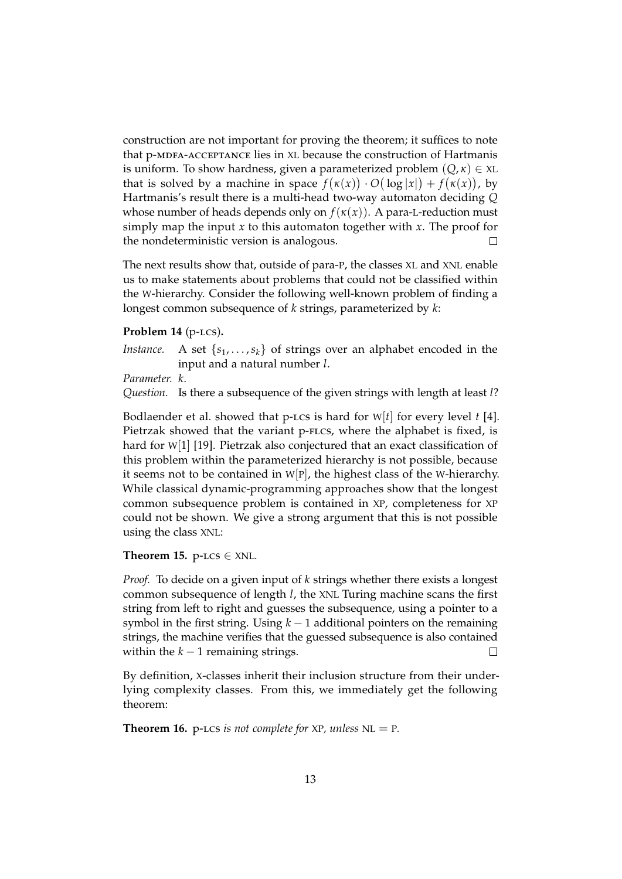construction are not important for proving the theorem; it suffices to note that p-mdfa-acceptance lies in XL because the construction of Hartmanis is uniform. To show hardness, given a parameterized problem  $(Q, \kappa) \in \text{XL}$ that is solved by a machine in space  $f(x(x)) \cdot O(\log |x|) + f(x(x))$ , by Hartmanis's result there is a multi-head two-way automaton deciding *Q* whose number of heads depends only on  $f(\kappa(x))$ . A para-L-reduction must simply map the input  $x$  to this automaton together with  $x$ . The proof for the nondeterministic version is analogous.  $\Box$ 

The next results show that, outside of para-P, the classes XL and XNL enable us to make statements about problems that could not be classified within the W-hierarchy. Consider the following well-known problem of finding a longest common subsequence of *k* strings, parameterized by *k*:

**Problem 14** (p-lcs)**.**

*Instance.* A set  $\{s_1, \ldots, s_k\}$  of strings over an alphabet encoded in the input and a natural number *l*.

*Parameter. k*.

*Question.* Is there a subsequence of the given strings with length at least *l*?

Bodlaender et al. showed that p-lcs is hard for <sup>W</sup>[*t*] for every level *t* [\[4\]](#page-21-9). Pietrzak showed that the variant p-FLCS, where the alphabet is fixed, is hard for W[1] [\[19\]](#page--1-3). Pietrzak also conjectured that an exact classification of this problem within the parameterized hierarchy is not possible, because it seems not to be contained in W[P], the highest class of the W-hierarchy. While classical dynamic-programming approaches show that the longest common subsequence problem is contained in XP, completeness for XP could not be shown. We give a strong argument that this is not possible using the class XNL:

### **Theorem 15.**  $p$ -LCS  $\in$  XNL.

*Proof.* To decide on a given input of *k* strings whether there exists a longest common subsequence of length *l*, the XNL Turing machine scans the first string from left to right and guesses the subsequence, using a pointer to a symbol in the first string. Using  $k - 1$  additional pointers on the remaining strings, the machine verifies that the guessed subsequence is also contained within the  $k - 1$  remaining strings.  $\Box$ 

By definition, X-classes inherit their inclusion structure from their underlying complexity classes. From this, we immediately get the following theorem:

**Theorem 16.** p-LCS *is not complete for*  $XP$ *, unless*  $NL = P$ *.*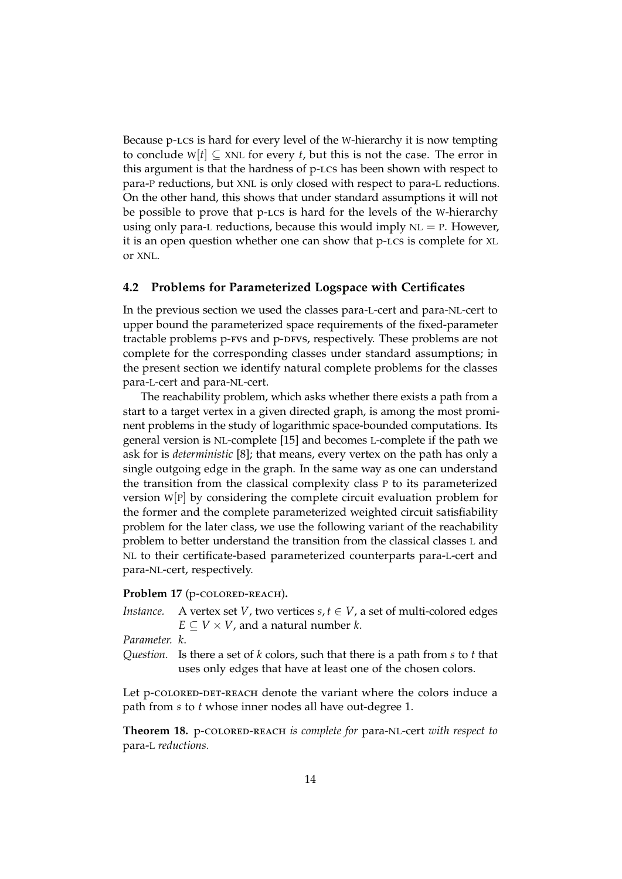Because p-LCs is hard for every level of the W-hierarchy it is now tempting to conclude  $W[t] \subseteq XNL$  for every *t*, but this is not the case. The error in this argument is that the hardness of p-LCs has been shown with respect to para-P reductions, but XNL is only closed with respect to para-L reductions. On the other hand, this shows that under standard assumptions it will not be possible to prove that p-lcs is hard for the levels of the <sup>W</sup>-hierarchy using only para-L reductions, because this would imply  $NL = P$ . However, it is an open question whether one can show that p-lcs is complete for XL or XNL.

### **4.2 Problems for Parameterized Logspace with Certificates**

In the previous section we used the classes para-L-cert and para-NL-cert to upper bound the parameterized space requirements of the fixed-parameter tractable problems p-FVs and p-DFVs, respectively. These problems are not complete for the corresponding classes under standard assumptions; in the present section we identify natural complete problems for the classes para-L-cert and para-NL-cert.

The reachability problem, which asks whether there exists a path from a start to a target vertex in a given directed graph, is among the most prominent problems in the study of logarithmic space-bounded computations. Its general version is NL-complete [\[15\]](#page-21-10) and becomes L-complete if the path we ask for is *deterministic* [\[8\]](#page-21-5); that means, every vertex on the path has only a single outgoing edge in the graph. In the same way as one can understand the transition from the classical complexity class P to its parameterized version W[P] by considering the complete circuit evaluation problem for the former and the complete parameterized weighted circuit satisfiability problem for the later class, we use the following variant of the reachability problem to better understand the transition from the classical classes L and NL to their certificate-based parameterized counterparts para-L-cert and para-NL-cert, respectively.

#### Problem 17 (p-COLORED-REACH).

*Instance.* A vertex set *V*, two vertices  $s, t \in V$ , a set of multi-colored edges  $E \subseteq V \times V$ , and a natural number *k*.

*Parameter. k*.

*Question.* Is there a set of *k* colors, such that there is a path from *s* to *t* that uses only edges that have at least one of the chosen colors.

Let p-COLORED-DET-REACH denote the variant where the colors induce a path from *s* to *t* whose inner nodes all have out-degree 1.

**Theorem 18.** p-COLORED-REACH *is complete for para-NL-cert with respect to* para-L *reductions.*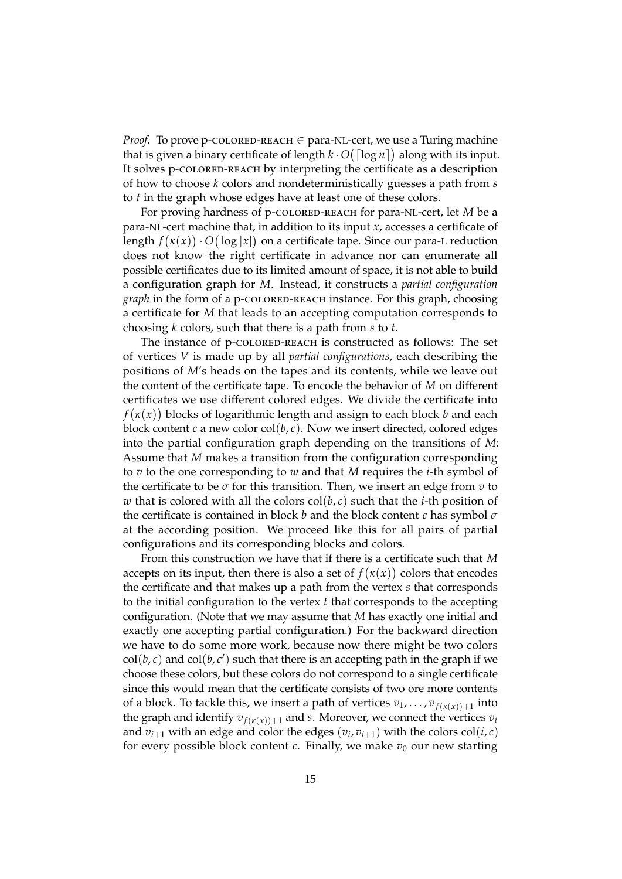*Proof.* To prove p-COLORED-REACH  $\in$  para-NL-cert, we use a Turing machine that is given a binary certificate of length  $k \cdot O(\lceil \log n \rceil)$  along with its input. It solves p-colored-reach by interpreting the certificate as a description of how to choose *k* colors and nondeterministically guesses a path from *s* to *t* in the graph whose edges have at least one of these colors.

For proving hardness of p-COLORED-REACH for para-NL-cert, let *M* be a para-NL-cert machine that, in addition to its input *x*, accesses a certificate of length  $f\big(\kappa(x)\big)\cdot O\big(\log|x|\big)$  on a certificate tape. Since our para-L reduction does not know the right certificate in advance nor can enumerate all possible certificates due to its limited amount of space, it is not able to build a configuration graph for *M*. Instead, it constructs a *partial configuration graph* in the form of a p-colored-reach instance. For this graph, choosing a certificate for *M* that leads to an accepting computation corresponds to choosing *k* colors, such that there is a path from *s* to *t*.

The instance of p-COLORED-REACH is constructed as follows: The set of vertices *V* is made up by all *partial configurations*, each describing the positions of *M*'s heads on the tapes and its contents, while we leave out the content of the certificate tape. To encode the behavior of *M* on different certificates we use different colored edges. We divide the certificate into  $f\big(\kappa(x)\big)$  blocks of logarithmic length and assign to each block  $b$  and each block content *c* a new color col( $b$ ,  $c$ ). Now we insert directed, colored edges into the partial configuration graph depending on the transitions of *M*: Assume that *M* makes a transition from the configuration corresponding to *v* to the one corresponding to *w* and that *M* requires the *i*-th symbol of the certificate to be  $\sigma$  for this transition. Then, we insert an edge from  $v$  to *w* that is colored with all the colors  $col(b, c)$  such that the *i*-th position of the certificate is contained in block *b* and the block content *c* has symbol *σ* at the according position. We proceed like this for all pairs of partial configurations and its corresponding blocks and colors.

From this construction we have that if there is a certificate such that *M* accepts on its input, then there is also a set of  $f(\kappa(x))$  colors that encodes the certificate and that makes up a path from the vertex *s* that corresponds to the initial configuration to the vertex *t* that corresponds to the accepting configuration. (Note that we may assume that *M* has exactly one initial and exactly one accepting partial configuration.) For the backward direction we have to do some more work, because now there might be two colors  $col(b, c)$  and  $col(b, c')$  such that there is an accepting path in the graph if we choose these colors, but these colors do not correspond to a single certificate since this would mean that the certificate consists of two ore more contents of a block. To tackle this, we insert a path of vertices  $v_1, \ldots, v_{f(\kappa(x))+1}$  into the graph and identify  $v_{f(k(x)) + 1}$  and *s*. Moreover, we connect the vertices  $v_i$ and  $v_{i+1}$  with an edge and color the edges  $(v_i, v_{i+1})$  with the colors  $col(i, c)$ for every possible block content  $c$ . Finally, we make  $v_0$  our new starting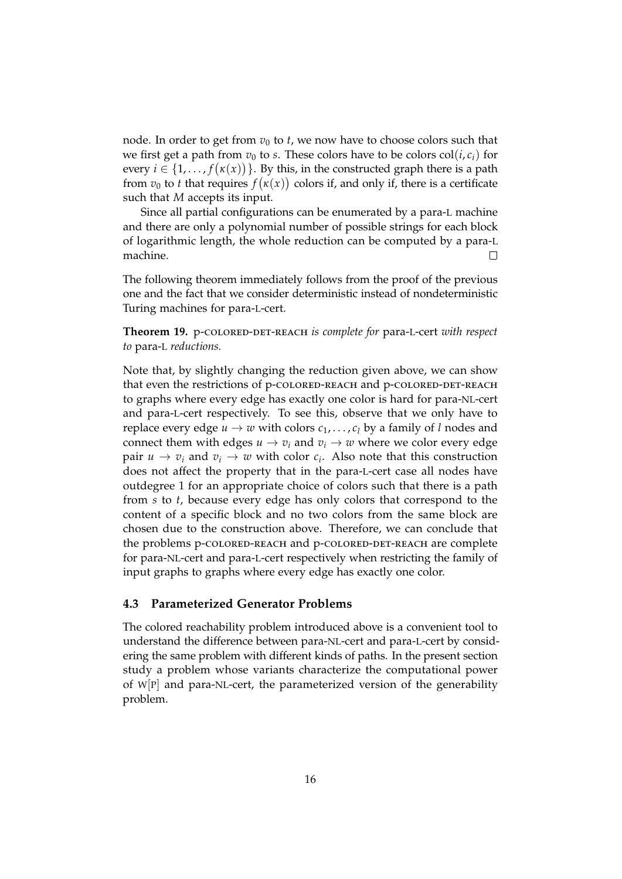node. In order to get from  $v_0$  to  $t$ , we now have to choose colors such that we first get a path from  $v_0$  to *s*. These colors have to be colors  $col(i, c_i)$  for every  $i \in \{1, \ldots, f(\kappa(x))\}$ . By this, in the constructed graph there is a path from  $v_0$  to *t* that requires  $f(\kappa(x))$  colors if, and only if, there is a certificate such that *M* accepts its input.

Since all partial configurations can be enumerated by a para-L machine and there are only a polynomial number of possible strings for each block of logarithmic length, the whole reduction can be computed by a para-L machine.  $\Box$ 

The following theorem immediately follows from the proof of the previous one and the fact that we consider deterministic instead of nondeterministic Turing machines for para-L-cert.

**Theorem 19.** p-COLORED-DET-REACH *is complete for* para-L-cert *with respect to* para-L *reductions.*

Note that, by slightly changing the reduction given above, we can show that even the restrictions of p-COLORED-REACH and p-COLORED-DET-REACH to graphs where every edge has exactly one color is hard for para-NL-cert and para-L-cert respectively. To see this, observe that we only have to replace every edge  $u \to w$  with colors  $c_1, \ldots, c_l$  by a family of *l* nodes and connect them with edges  $u \rightarrow v_i$  and  $v_i \rightarrow w$  where we color every edge pair  $u \to v_i$  and  $v_i \to w$  with color  $c_i$ . Also note that this construction does not affect the property that in the para-L-cert case all nodes have outdegree 1 for an appropriate choice of colors such that there is a path from *s* to *t*, because every edge has only colors that correspond to the content of a specific block and no two colors from the same block are chosen due to the construction above. Therefore, we can conclude that the problems p-COLORED-REACH and p-COLORED-DET-REACH are complete for para-NL-cert and para-L-cert respectively when restricting the family of input graphs to graphs where every edge has exactly one color.

### **4.3 Parameterized Generator Problems**

The colored reachability problem introduced above is a convenient tool to understand the difference between para-NL-cert and para-L-cert by considering the same problem with different kinds of paths. In the present section study a problem whose variants characterize the computational power of W[P] and para-NL-cert, the parameterized version of the generability problem.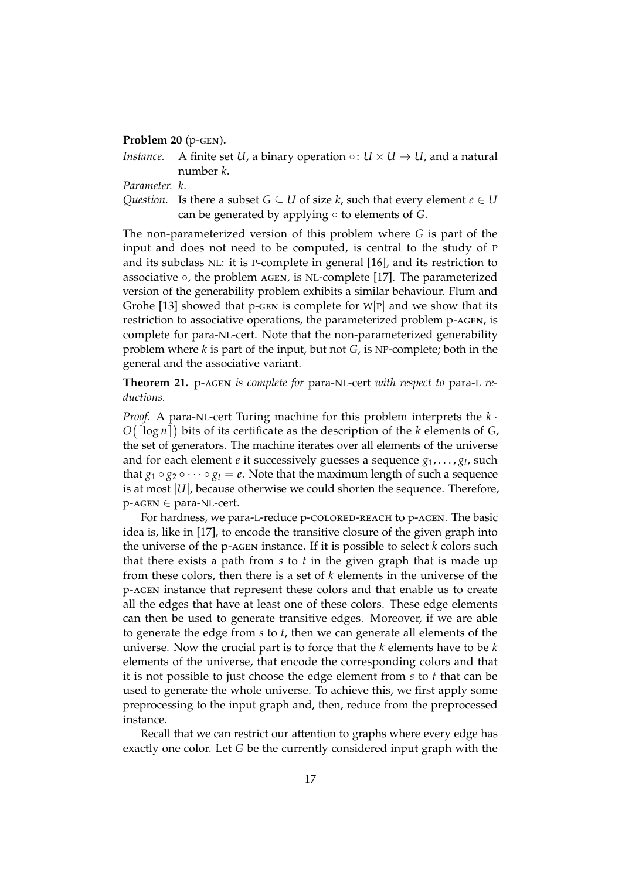#### **Problem 20** (p-gen)**.**

*Instance.* A finite set *U*, a binary operation  $\circ$  : *U*  $\times$  *U*  $\to$  *U*, and a natural number *k*.

*Parameter. k*.

*Question.* Is there a subset  $G \subseteq U$  of size  $k$ , such that every element  $e \in U$ can be generated by applying ◦ to elements of *G*.

The non-parameterized version of this problem where *G* is part of the input and does not need to be computed, is central to the study of P and its subclass NL: it is P-complete in general [\[16\]](#page--1-4), and its restriction to associative  $\circ$ , the problem AGEN, is NL-complete [\[17\]](#page--1-1). The parameterized version of the generability problem exhibits a similar behaviour. Flum and Grohe [\[13\]](#page-21-4) showed that p-GEN is complete for  $W[P]$  and we show that its restriction to associative operations, the parameterized problem p-agen, is complete for para-NL-cert. Note that the non-parameterized generability problem where *k* is part of the input, but not *G*, is NP-complete; both in the general and the associative variant.

**Theorem 21.** p-agen *is complete for* para-NL-cert *with respect to* para-<sup>L</sup> *reductions.*

*Proof.* A para-NL-cert Turing machine for this problem interprets the *k* ·  $O(\lceil \log n \rceil)$  bits of its certificate as the description of the *k* elements of *G*, the set of generators. The machine iterates over all elements of the universe and for each element *e* it successively guesses a sequence *g*1, . . . , *g<sup>l</sup>* , such that  $g_1 \circ g_2 \circ \cdots \circ g_l = e$ . Note that the maximum length of such a sequence is at most |*U*|, because otherwise we could shorten the sequence. Therefore, p-agen ∈ para-NL-cert.

For hardness, we para-L-reduce p-COLORED-REACH to p-AGEN. The basic idea is, like in [\[17\]](#page--1-1), to encode the transitive closure of the given graph into the universe of the p-agen instance. If it is possible to select *k* colors such that there exists a path from *s* to *t* in the given graph that is made up from these colors, then there is a set of *k* elements in the universe of the p-agen instance that represent these colors and that enable us to create all the edges that have at least one of these colors. These edge elements can then be used to generate transitive edges. Moreover, if we are able to generate the edge from *s* to *t*, then we can generate all elements of the universe. Now the crucial part is to force that the *k* elements have to be *k* elements of the universe, that encode the corresponding colors and that it is not possible to just choose the edge element from *s* to *t* that can be used to generate the whole universe. To achieve this, we first apply some preprocessing to the input graph and, then, reduce from the preprocessed instance.

Recall that we can restrict our attention to graphs where every edge has exactly one color. Let *G* be the currently considered input graph with the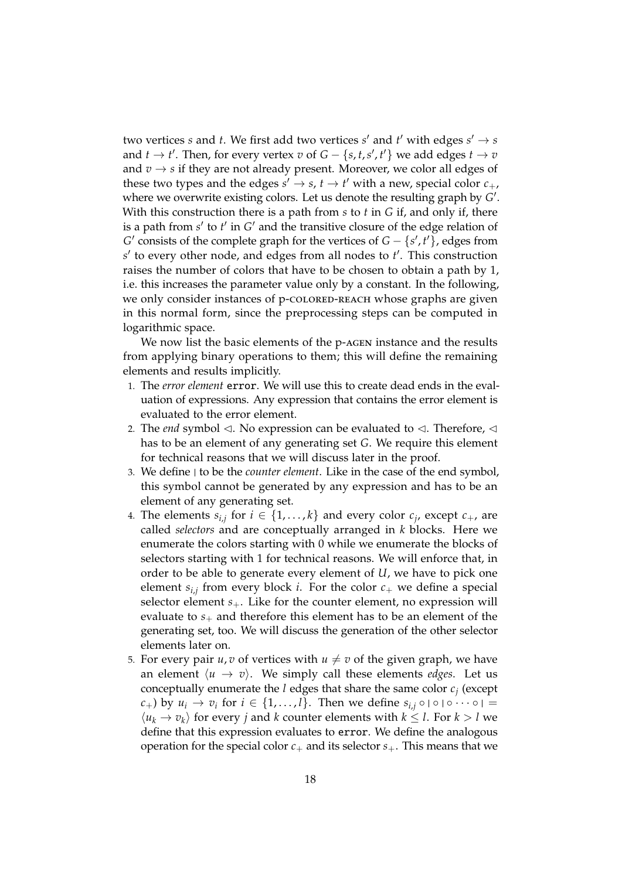two vertices *s* and *t*. We first add two vertices *s'* and *t'* with edges  $s' \rightarrow s$ and *t*  $\rightarrow$  *t'*. Then, for every vertex *v* of *G*  $-$  {*s*, *t*, *s'*, *t'*} we add edges *t*  $\rightarrow$  *v* and  $v \rightarrow s$  if they are not already present. Moreover, we color all edges of these two types and the edges  $s' \rightarrow s$ ,  $t \rightarrow t'$  with a new, special color  $c_+$ , where we overwrite existing colors. Let us denote the resulting graph by  $G'$ . With this construction there is a path from *s* to *t* in *G* if, and only if, there is a path from *s'* to *t'* in *G'* and the transitive closure of the edge relation of *G*<sup> $\prime$ </sup> consists of the complete graph for the vertices of *G* − {*s*<sup> $\prime$ </sup>, *t*<sup> $\prime$ </sup>}, edges from s' to every other node, and edges from all nodes to *t*'. This construction raises the number of colors that have to be chosen to obtain a path by 1, i.e. this increases the parameter value only by a constant. In the following, we only consider instances of p-COLORED-REACH whose graphs are given in this normal form, since the preprocessing steps can be computed in logarithmic space.

We now list the basic elements of the p-AGEN instance and the results from applying binary operations to them; this will define the remaining elements and results implicitly.

- 1. The *error element* error. We will use this to create dead ends in the evaluation of expressions. Any expression that contains the error element is evaluated to the error element.
- 2. The *end* symbol  $\triangleleft$ . No expression can be evaluated to  $\triangleleft$ . Therefore,  $\triangleleft$ has to be an element of any generating set *G*. We require this element for technical reasons that we will discuss later in the proof.
- 3. We define  $\vert$  to be the *counter element*. Like in the case of the end symbol, this symbol cannot be generated by any expression and has to be an element of any generating set.
- 4. The elements  $s_{i,j}$  for  $i \in \{1, \ldots, k\}$  and every color  $c_j$ , except  $c_+$ , are called *selectors* and are conceptually arranged in *k* blocks. Here we enumerate the colors starting with 0 while we enumerate the blocks of selectors starting with 1 for technical reasons. We will enforce that, in order to be able to generate every element of *U*, we have to pick one element *si*,*<sup>j</sup>* from every block *i*. For the color *c*+ we define a special selector element  $s_{+}$ . Like for the counter element, no expression will evaluate to  $s_+$  and therefore this element has to be an element of the generating set, too. We will discuss the generation of the other selector elements later on.
- 5. For every pair *u*, *v* of vertices with  $u \neq v$  of the given graph, we have an element  $\langle u \rightarrow v \rangle$ . We simply call these elements *edges*. Let us conceptually enumerate the *l* edges that share the same color *c<sup>j</sup>* (except  $(c_+)$  by  $u_i \to v_i$  for  $i \in \{1, ..., l\}$ . Then we define  $s_{i,j} \circ \vert \circ \vert \circ \cdots \circ \vert =$  $\langle u_k \to v_k \rangle$  for every *j* and *k* counter elements with  $k \leq l$ . For  $k > l$  we define that this expression evaluates to error. We define the analogous operation for the special color  $c_+$  and its selector  $s_+$ . This means that we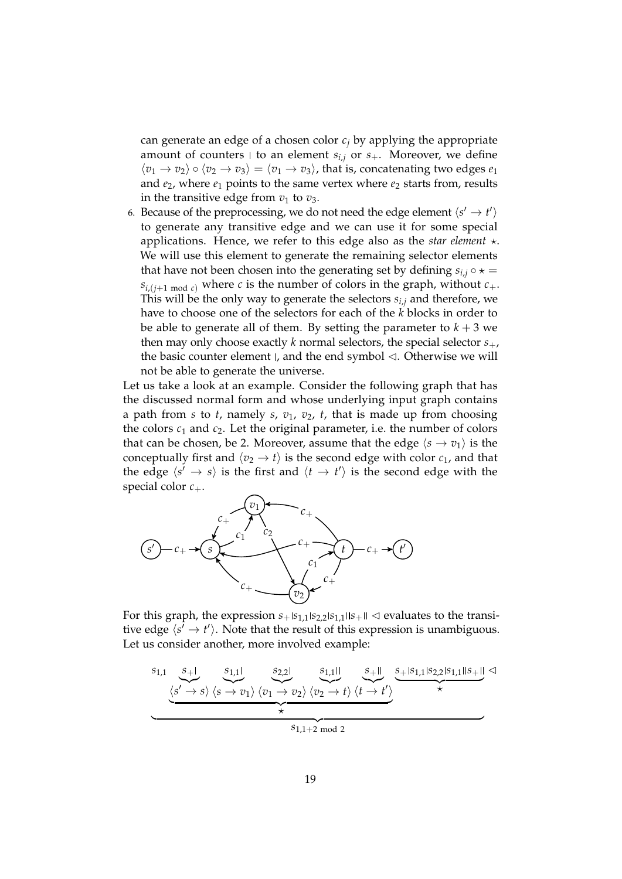can generate an edge of a chosen color *c<sup>j</sup>* by applying the appropriate amount of counters  $\vert$  to an element  $s_{i,j}$  or  $s_{+}$ . Moreover, we define  $\langle v_1 \rightarrow v_2 \rangle \circ \langle v_2 \rightarrow v_3 \rangle = \langle v_1 \rightarrow v_3 \rangle$ , that is, concatenating two edges  $e_1$ and  $e_2$ , where  $e_1$  points to the same vertex where  $e_2$  starts from, results in the transitive edge from  $v_1$  to  $v_3$ .

6. Because of the preprocessing, we do not need the edge element  $\langle s' \rightarrow t' \rangle$ to generate any transitive edge and we can use it for some special applications. Hence, we refer to this edge also as the *star element*  $\star$ . We will use this element to generate the remaining selector elements that have not been chosen into the generating set by defining  $s_{i,j} \circ \star =$  $s_{i,(i+1 \mod c)}$  where *c* is the number of colors in the graph, without  $c_+$ . This will be the only way to generate the selectors *si*,*<sup>j</sup>* and therefore, we have to choose one of the selectors for each of the *k* blocks in order to be able to generate all of them. By setting the parameter to  $k + 3$  we then may only choose exactly *k* normal selectors, the special selector  $s_{+}$ , the basic counter element  $\vert$ , and the end symbol  $\triangleleft$ . Otherwise we will not be able to generate the universe.

Let us take a look at an example. Consider the following graph that has the discussed normal form and whose underlying input graph contains a path from *s* to *t*, namely *s*,  $v_1$ ,  $v_2$ , *t*, that is made up from choosing the colors  $c_1$  and  $c_2$ . Let the original parameter, i.e. the number of colors that can be chosen, be 2. Moreover, assume that the edge  $\langle s \rightarrow v_1 \rangle$  is the conceptually first and  $\langle v_2 \rangle$  is the second edge with color  $c_1$ , and that the edge  $\langle s' \rightarrow s \rangle$  is the first and  $\langle t \rightarrow t' \rangle$  is the second edge with the special color  $c_+$ .



For this graph, the expression  $s_{+} |s_{1,1}| s_{2,2} |s_{1,1}| |s_{+}|| \le$  evaluates to the transitive edge  $\langle s' \rightarrow t' \rangle$ . Note that the result of this expression is unambiguous. Let us consider another, more involved example:

$$
\underbrace{\begin{array}{c}\n s_{1,1} & s_{+1} \\
\langle s' \rightarrow s \rangle \langle s \rightarrow v_{1} \rangle \langle v_{1} \rightarrow v_{2} \rangle \langle v_{2} \rightarrow t \rangle \langle t \rightarrow t' \rangle \\
\hline\n & & \\
\hline\n & & \\
\hline\n & & \\
\hline\n & & \\
\hline\n & & \\
\hline\n & & \\
\hline\n & & \\
\hline\n & & \\
\hline\n & & \\
\hline\n & & \\
\hline\n & & \\
\hline\n & & \\
\hline\n & & \\
\hline\n & & \\
\hline\n & & \\
\hline\n & & \\
\hline\n & & \\
\hline\n & & \\
\hline\n & & \\
\hline\n & & \\
\hline\n & & \\
\hline\n & & \\
\hline\n & & \\
\hline\n & & \\
\hline\n & & \\
\hline\n & & \\
\hline\n & & \\
\hline\n & & \\
\hline\n & & \\
\hline\n & & \\
\hline\n & & \\
\hline\n & & \\
\hline\n & & \\
\hline\n & & \\
\hline\n & & \\
\hline\n & & \\
\hline\n & & \\
\hline\n & & \\
\hline\n & & \\
\hline\n & & \\
\hline\n & & \\
\hline\n & & \\
\hline\n & & \\
\hline\n & & \\
\hline\n & & \\
\hline\n & & \\
\hline\n & & \\
\hline\n & & \\
\hline\n & & \\
\hline\n & & \\
\hline\n & & \\
\hline\n & & \\
\hline\n & & \\
\hline\n & & \\
\hline\n & & \\
\hline\n & & \\
\hline\n & & \\
\hline\n & & \\
\hline\n & & \\
\hline\n & & \\
\hline\n & & \\
\hline\n & &
$$

*s*1,1+2 mod 2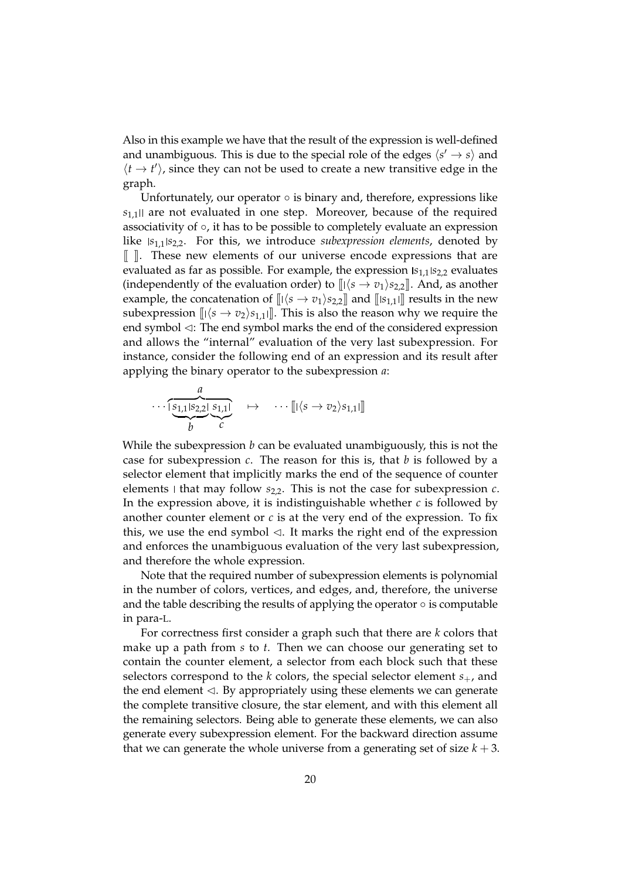Also in this example we have that the result of the expression is well-defined and unambiguous. This is due to the special role of the edges  $\langle s' \rightarrow s \rangle$  and  $\langle t \rightarrow t' \rangle$ , since they can not be used to create a new transitive edge in the graph.

Unfortunately, our operator  $\circ$  is binary and, therefore, expressions like  $s<sub>1,1</sub>$  are not evaluated in one step. Moreover, because of the required associativity of ◦, it has to be possible to completely evaluate an expression like  $|s_{1,1}|s_{2,2}$ . For this, we introduce *subexpression elements*, denoted by [[ ]]. These new elements of our universe encode expressions that are evaluated as far as possible. For example, the expression  $|s_{1,1}|s_{2,2}$  evaluates (independently of the evaluation order) to  $\left[ \frac{|s + v_1|}{s_2} \right]$ . And, as another example, the concatenation of  $\left[ \left[ \left( s \rightarrow v_1 \right) s_{2,2} \right]$  and  $\left[ \left[ s_{1,1} \right] \right]$  results in the new subexpression  $\left[\left[\left\langle s \rightarrow v_2 \right\rangle s_{1,1} \right]\right]$ . This is also the reason why we require the end symbol  $\triangleleft$ : The end symbol marks the end of the considered expression and allows the "internal" evaluation of the very last subexpression. For instance, consider the following end of an expression and its result after applying the binary operator to the subexpression *a*:

$$
\cdots \overbrace{\bigcup_{b}^{a} \underbrace{1,1}_{c}^{S_{1,1}S_{2,2}S_{1,1}I}}^{a} \quad \mapsto \quad \cdots \left[ \left[ \left( \langle s \to v_2 \rangle s_{1,1} \right] \right] \right]
$$

While the subexpression *b* can be evaluated unambiguously, this is not the case for subexpression *c*. The reason for this is, that *b* is followed by a selector element that implicitly marks the end of the sequence of counter elements that may follow  $s_{2,2}$ . This is not the case for subexpression *c*. In the expression above, it is indistinguishable whether  $c$  is followed by another counter element or *c* is at the very end of the expression. To fix this, we use the end symbol  $\triangleleft$ . It marks the right end of the expression and enforces the unambiguous evaluation of the very last subexpression, and therefore the whole expression.

Note that the required number of subexpression elements is polynomial in the number of colors, vertices, and edges, and, therefore, the universe and the table describing the results of applying the operator  $\circ$  is computable in para-L.

For correctness first consider a graph such that there are *k* colors that make up a path from *s* to *t*. Then we can choose our generating set to contain the counter element, a selector from each block such that these selectors correspond to the *k* colors, the special selector element *s*+, and the end element  $\triangleleft$ . By appropriately using these elements we can generate the complete transitive closure, the star element, and with this element all the remaining selectors. Being able to generate these elements, we can also generate every subexpression element. For the backward direction assume that we can generate the whole universe from a generating set of size  $k + 3$ .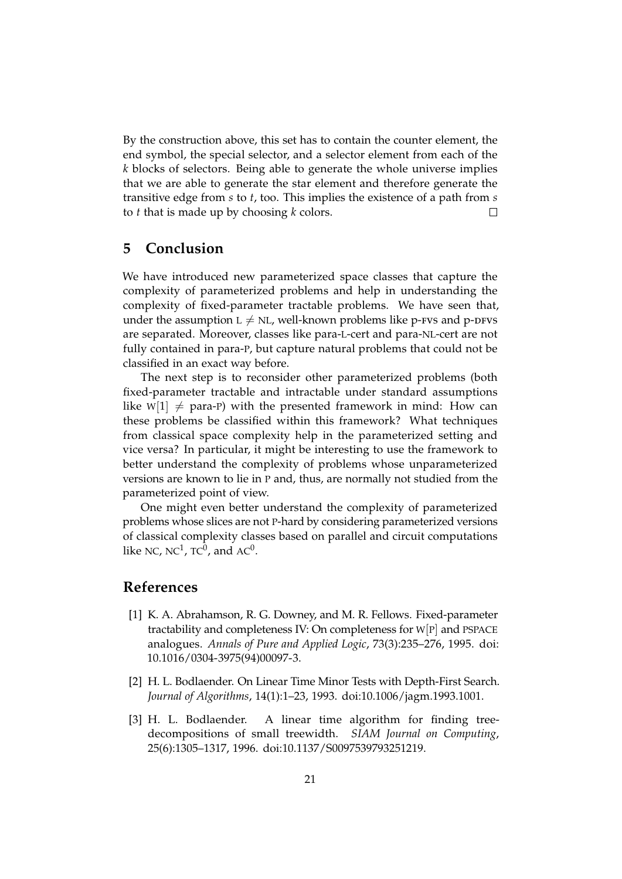By the construction above, this set has to contain the counter element, the end symbol, the special selector, and a selector element from each of the *k* blocks of selectors. Being able to generate the whole universe implies that we are able to generate the star element and therefore generate the transitive edge from *s* to *t*, too. This implies the existence of a path from *s* to *t* that is made up by choosing *k* colors.  $\Box$ 

### **5 Conclusion**

We have introduced new parameterized space classes that capture the complexity of parameterized problems and help in understanding the complexity of fixed-parameter tractable problems. We have seen that, under the assumption  $L \neq NL$ , well-known problems like p-FVs and p-DFVs are separated. Moreover, classes like para-L-cert and para-NL-cert are not fully contained in para-P, but capture natural problems that could not be classified in an exact way before.

The next step is to reconsider other parameterized problems (both fixed-parameter tractable and intractable under standard assumptions like W[1]  $\neq$  para-P) with the presented framework in mind: How can these problems be classified within this framework? What techniques from classical space complexity help in the parameterized setting and vice versa? In particular, it might be interesting to use the framework to better understand the complexity of problems whose unparameterized versions are known to lie in P and, thus, are normally not studied from the parameterized point of view.

One might even better understand the complexity of parameterized problems whose slices are not P-hard by considering parameterized versions of classical complexity classes based on parallel and circuit computations like NC, NC<sup>1</sup>, TC<sup>0</sup>, and AC<sup>0</sup>.

### **References**

- <span id="page-20-0"></span>[1] K. A. Abrahamson, R. G. Downey, and M. R. Fellows. Fixed-parameter tractability and completeness IV: On completeness for W[P] and PSPACE analogues. *Annals of Pure and Applied Logic*, 73(3):235–276, 1995. [doi:](http://dx.doi.org/10.1016/0304-3975(94)00097-3) [10.1016/0304-3975\(94\)00097-3.](http://dx.doi.org/10.1016/0304-3975(94)00097-3)
- <span id="page-20-1"></span>[2] H. L. Bodlaender. On Linear Time Minor Tests with Depth-First Search. *Journal of Algorithms*, 14(1):1–23, 1993. [doi:10.1006/jagm.1993.1001.](http://dx.doi.org/10.1006/jagm.1993.1001)
- <span id="page-20-2"></span>[3] H. L. Bodlaender. A linear time algorithm for finding treedecompositions of small treewidth. *SIAM Journal on Computing*, 25(6):1305–1317, 1996. [doi:10.1137/S0097539793251219.](http://dx.doi.org/10.1137/S0097539793251219)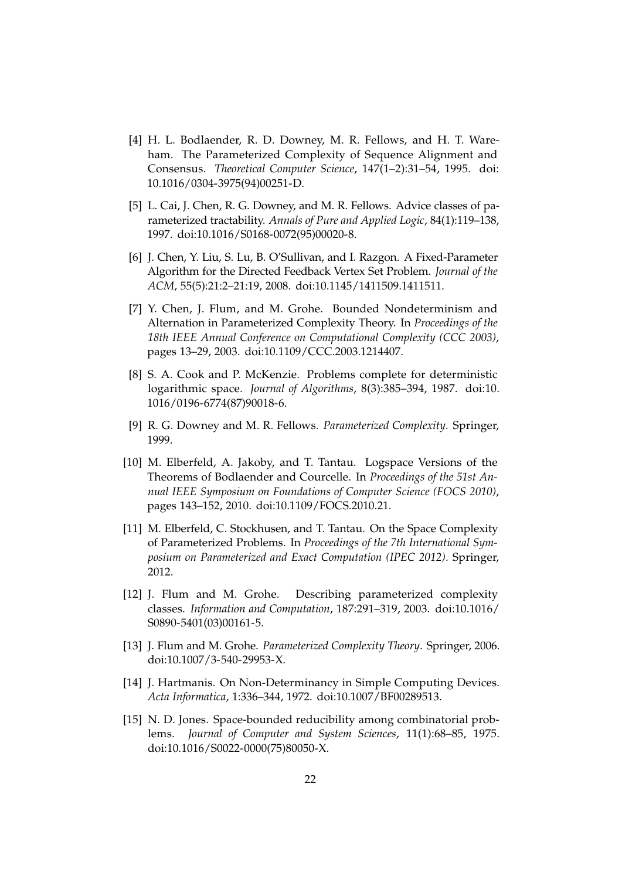- <span id="page-21-9"></span>[4] H. L. Bodlaender, R. D. Downey, M. R. Fellows, and H. T. Wareham. The Parameterized Complexity of Sequence Alignment and Consensus. *Theoretical Computer Science*, 147(1–2):31–54, 1995. [doi:](http://dx.doi.org/10.1016/0304-3975(94)00251-D) [10.1016/0304-3975\(94\)00251-D.](http://dx.doi.org/10.1016/0304-3975(94)00251-D)
- <span id="page-21-0"></span>[5] L. Cai, J. Chen, R. G. Downey, and M. R. Fellows. Advice classes of parameterized tractability. *Annals of Pure and Applied Logic*, 84(1):119–138, 1997. [doi:10.1016/S0168-0072\(95\)00020-8.](http://dx.doi.org/10.1016/S0168-0072(95)00020-8)
- <span id="page-21-6"></span>[6] J. Chen, Y. Liu, S. Lu, B. O'Sullivan, and I. Razgon. A Fixed-Parameter Algorithm for the Directed Feedback Vertex Set Problem. *Journal of the ACM*, 55(5):21:2–21:19, 2008. [doi:10.1145/1411509.1411511.](http://dx.doi.org/10.1145/1411509.1411511)
- <span id="page-21-2"></span>[7] Y. Chen, J. Flum, and M. Grohe. Bounded Nondeterminism and Alternation in Parameterized Complexity Theory. In *Proceedings of the 18th IEEE Annual Conference on Computational Complexity (CCC 2003)*, pages 13–29, 2003. [doi:10.1109/CCC.2003.1214407.](http://dx.doi.org/10.1109/CCC.2003.1214407)
- <span id="page-21-5"></span>[8] S. A. Cook and P. McKenzie. Problems complete for deterministic logarithmic space. *Journal of Algorithms*, 8(3):385–394, 1987. [doi:10.](http://dx.doi.org/10.1016/0196-6774(87)90018-6) [1016/0196-6774\(87\)90018-6.](http://dx.doi.org/10.1016/0196-6774(87)90018-6)
- <span id="page-21-3"></span>[9] R. G. Downey and M. R. Fellows. *Parameterized Complexity*. Springer, 1999.
- <span id="page-21-7"></span>[10] M. Elberfeld, A. Jakoby, and T. Tantau. Logspace Versions of the Theorems of Bodlaender and Courcelle. In *Proceedings of the 51st Annual IEEE Symposium on Foundations of Computer Science (FOCS 2010)*, pages 143–152, 2010. [doi:10.1109/FOCS.2010.21.](http://dx.doi.org/10.1109/FOCS.2010.21)
- [11] M. Elberfeld, C. Stockhusen, and T. Tantau. On the Space Complexity of Parameterized Problems. In *Proceedings of the 7th International Symposium on Parameterized and Exact Computation (IPEC 2012)*. Springer, 2012.
- <span id="page-21-1"></span>[12] J. Flum and M. Grohe. Describing parameterized complexity classes. *Information and Computation*, 187:291–319, 2003. [doi:10.1016/](http://dx.doi.org/10.1016/S0890-5401(03)00161-5) [S0890-5401\(03\)00161-5.](http://dx.doi.org/10.1016/S0890-5401(03)00161-5)
- <span id="page-21-4"></span>[13] J. Flum and M. Grohe. *Parameterized Complexity Theory*. Springer, 2006. [doi:10.1007/3-540-29953-X.](http://dx.doi.org/10.1007/3-540-29953-X)
- <span id="page-21-8"></span>[14] J. Hartmanis. On Non-Determinancy in Simple Computing Devices. *Acta Informatica*, 1:336–344, 1972. [doi:10.1007/BF00289513.](http://dx.doi.org/10.1007/BF00289513)
- <span id="page-21-10"></span>[15] N. D. Jones. Space-bounded reducibility among combinatorial problems. *Journal of Computer and System Sciences*, 11(1):68–85, 1975. [doi:10.1016/S0022-0000\(75\)80050-X.](http://dx.doi.org/10.1016/S0022-0000(75)80050-X)